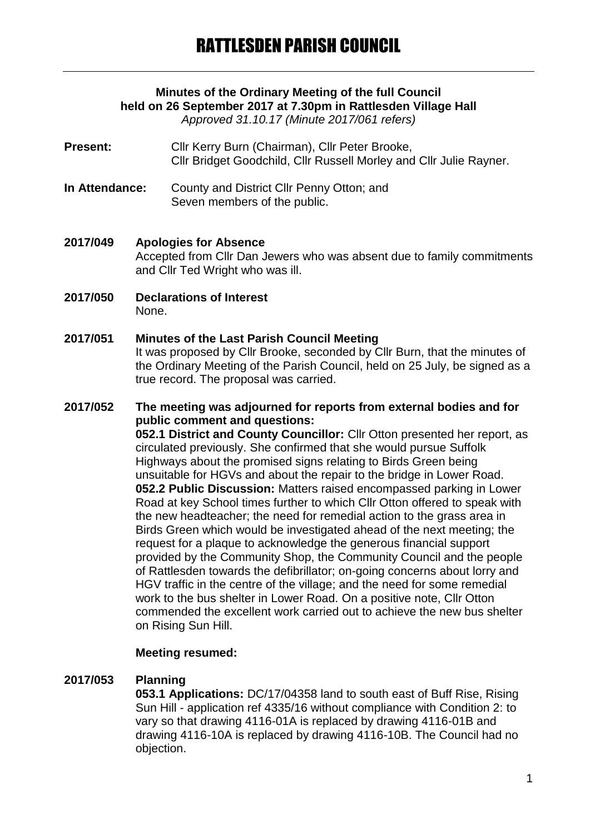# **Minutes of the Ordinary Meeting of the full Council held on 26 September 2017 at 7.30pm in Rattlesden Village Hall**

*Approved 31.10.17 (Minute 2017/061 refers)*

- **Present:** Cllr Kerry Burn (Chairman), Cllr Peter Brooke, Cllr Bridget Goodchild, Cllr Russell Morley and Cllr Julie Rayner.
- **In Attendance:** County and District Cllr Penny Otton; and Seven members of the public.

**2017/049 Apologies for Absence** Accepted from Cllr Dan Jewers who was absent due to family commitments and Cllr Ted Wright who was ill.

**2017/050 Declarations of Interest** None.

#### **2017/051 Minutes of the Last Parish Council Meeting** It was proposed by Cllr Brooke, seconded by Cllr Burn, that the minutes of the Ordinary Meeting of the Parish Council, held on 25 July, be signed as a true record. The proposal was carried.

#### **2017/052 The meeting was adjourned for reports from external bodies and for public comment and questions: 052.1 District and County Councillor:** Cllr Otton presented her report, as circulated previously. She confirmed that she would pursue Suffolk Highways about the promised signs relating to Birds Green being unsuitable for HGVs and about the repair to the bridge in Lower Road. **052.2 Public Discussion:** Matters raised encompassed parking in Lower Road at key School times further to which Cllr Otton offered to speak with the new headteacher; the need for remedial action to the grass area in Birds Green which would be investigated ahead of the next meeting; the request for a plaque to acknowledge the generous financial support provided by the Community Shop, the Community Council and the people of Rattlesden towards the defibrillator; on-going concerns about lorry and HGV traffic in the centre of the village; and the need for some remedial work to the bus shelter in Lower Road. On a positive note, Cllr Otton commended the excellent work carried out to achieve the new bus shelter on Rising Sun Hill.

### **Meeting resumed:**

### **2017/053 Planning**

**053.1 Applications:** DC/17/04358 land to south east of Buff Rise, Rising Sun Hill - application ref 4335/16 without compliance with Condition 2: to vary so that drawing 4116-01A is replaced by drawing 4116-01B and drawing 4116-10A is replaced by drawing 4116-10B. The Council had no objection.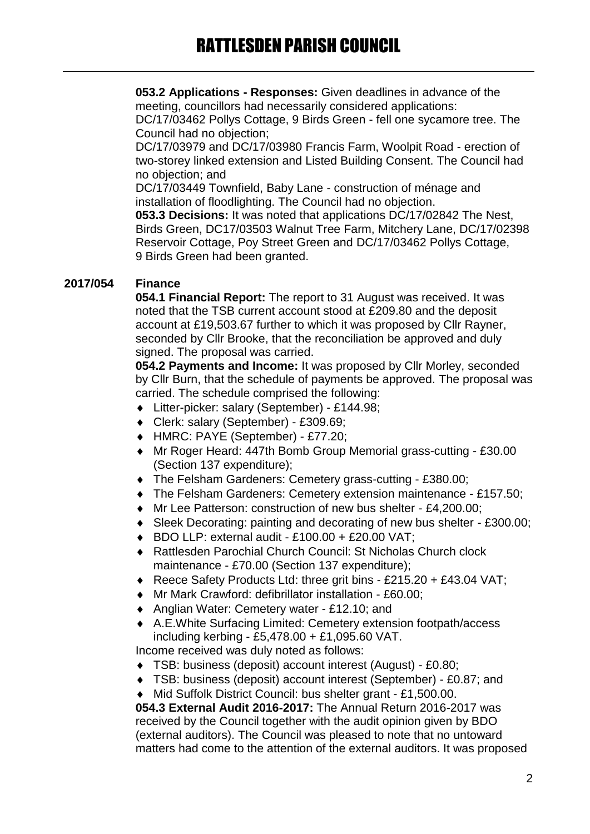**053.2 Applications - Responses:** Given deadlines in advance of the meeting, councillors had necessarily considered applications:

DC/17/03462 Pollys Cottage, 9 Birds Green - fell one sycamore tree. The Council had no objection;

DC/17/03979 and DC/17/03980 Francis Farm, Woolpit Road - erection of two-storey linked extension and Listed Building Consent. The Council had no objection; and

DC/17/03449 Townfield, Baby Lane - construction of ménage and installation of floodlighting. The Council had no objection.

**053.3 Decisions:** It was noted that applications DC/17/02842 The Nest, Birds Green, DC17/03503 Walnut Tree Farm, Mitchery Lane, DC/17/02398 Reservoir Cottage, Poy Street Green and DC/17/03462 Pollys Cottage, 9 Birds Green had been granted.

# **2017/054 Finance**

**054.1 Financial Report:** The report to 31 August was received. It was noted that the TSB current account stood at £209.80 and the deposit account at £19,503.67 further to which it was proposed by Cllr Rayner, seconded by Cllr Brooke, that the reconciliation be approved and duly signed. The proposal was carried.

**054.2 Payments and Income:** It was proposed by Cllr Morley, seconded by Cllr Burn, that the schedule of payments be approved. The proposal was carried. The schedule comprised the following:

- Litter-picker: salary (September) £144.98;
- Clerk: salary (September) £309.69;
- HMRC: PAYE (September) £77.20;
- Mr Roger Heard: 447th Bomb Group Memorial grass-cutting £30.00 (Section 137 expenditure);
- The Felsham Gardeners: Cemetery grass-cutting £380.00;
- The Felsham Gardeners: Cemetery extension maintenance £157.50;
- Mr Lee Patterson: construction of new bus shelter £4,200.00;
- Sleek Decorating: painting and decorating of new bus shelter £300.00;
- $\bullet$  BDO LLP: external audit £100.00 + £20.00 VAT:
- Rattlesden Parochial Church Council: St Nicholas Church clock maintenance - £70.00 (Section 137 expenditure);
- ◆ Reece Safety Products Ltd: three grit bins £215.20 + £43.04 VAT;
- Mr Mark Crawford: defibrillator installation £60.00;
- ◆ Anglian Water: Cemetery water £12.10; and
- A.E.White Surfacing Limited: Cemetery extension footpath/access including kerbing - £5,478.00 + £1,095.60 VAT.

Income received was duly noted as follows:

- TSB: business (deposit) account interest (August) £0.80;
- TSB: business (deposit) account interest (September) £0.87; and

Mid Suffolk District Council: bus shelter grant - £1,500.00.

**054.3 External Audit 2016-2017:** The Annual Return 2016-2017 was received by the Council together with the audit opinion given by BDO (external auditors). The Council was pleased to note that no untoward matters had come to the attention of the external auditors. It was proposed